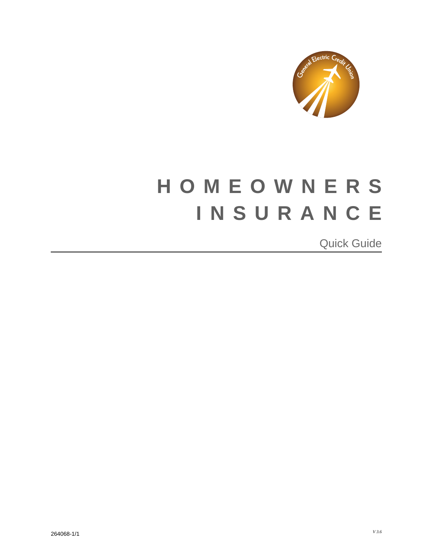

## **HOMEOWNERS INSURANCE**  $\overline{a}$ ľ I j

 $\overline{a}$  $\overline{a}$ Quick Guide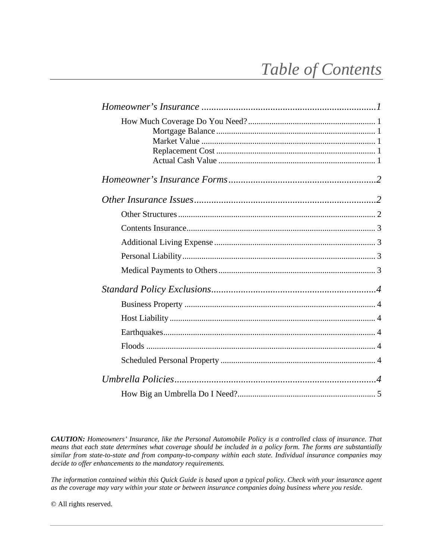# *Table of Contents*

*CAUTION: Homeowners' Insurance, like the Personal Automobile Policy is a controlled class of insurance. That means that each state determines what coverage should be included in a policy form. The forms are substantially similar from state-to-state and from company-to-company within each state. Individual insurance companies may decide to offer enhancements to the mandatory requirements.* 

*The information contained within this Quick Guide is based upon a typical policy. Check with your insurance agent as the coverage may vary within your state or between insurance companies doing business where you reside.* 

© All rights reserved.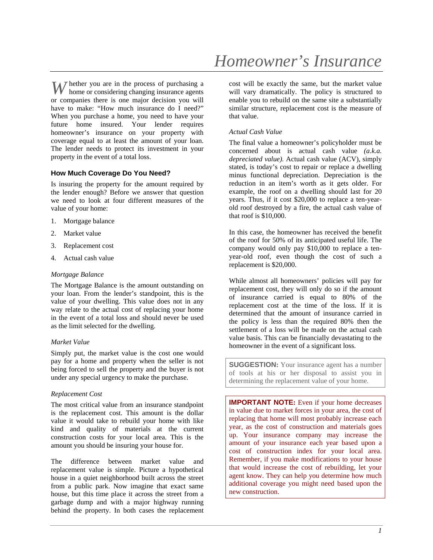hether you are in the process of purchasing a W home or considering changing insurance agents or companies there is one major decision you will have to make: "How much insurance do I need?" When you purchase a home, you need to have your future home insured. Your lender requires homeowner's insurance on your property with coverage equal to at least the amount of your loan. The lender needs to protect its investment in your property in the event of a total loss.

#### **How Much Coverage Do You Need?**

Is insuring the property for the amount required by the lender enough? Before we answer that question we need to look at four different measures of the value of your home:

- 1. Mortgage balance
- 2. Market value
- 3. Replacement cost
- 4. Actual cash value

#### *Mortgage Balance*

The Mortgage Balance is the amount outstanding on your loan. From the lender's standpoint, this is the value of your dwelling. This value does not in any way relate to the actual cost of replacing your home in the event of a total loss and should never be used as the limit selected for the dwelling.

#### *Market Value*

Simply put, the market value is the cost one would pay for a home and property when the seller is not being forced to sell the property and the buyer is not under any special urgency to make the purchase.

#### *Replacement Cost*

The most critical value from an insurance standpoint is the replacement cost. This amount is the dollar value it would take to rebuild your home with like kind and quality of materials at the current construction costs for your local area. This is the amount you should be insuring your house for.

The difference between market value and replacement value is simple. Picture a hypothetical house in a quiet neighborhood built across the street from a public park. Now imagine that exact same house, but this time place it across the street from a garbage dump and with a major highway running behind the property. In both cases the replacement cost will be exactly the same, but the market value will vary dramatically. The policy is structured to enable you to rebuild on the same site a substantially similar structure, replacement cost is the measure of that value.

#### *Actual Cash Value*

The final value a homeowner's policyholder must be concerned about is actual cash value *(a.k.a. depreciated value).* Actual cash value (ACV), simply stated, is today's cost to repair or replace a dwelling minus functional depreciation. Depreciation is the reduction in an item's worth as it gets older. For example, the roof on a dwelling should last for 20 years. Thus, if it cost \$20,000 to replace a ten-yearold roof destroyed by a fire, the actual cash value of that roof is \$10,000.

In this case, the homeowner has received the benefit of the roof for 50% of its anticipated useful life. The company would only pay \$10,000 to replace a tenyear-old roof, even though the cost of such a replacement is \$20,000.

While almost all homeowners' policies will pay for replacement cost, they will only do so if the amount of insurance carried is equal to 80% of the replacement cost at the time of the loss. If it is determined that the amount of insurance carried in the policy is less than the required 80% then the settlement of a loss will be made on the actual cash value basis. This can be financially devastating to the homeowner in the event of a significant loss.

**SUGGESTION:** Your insurance agent has a number of tools at his or her disposal to assist you in determining the replacement value of your home.

**IMPORTANT NOTE:** Even if your home decreases in value due to market forces in your area, the cost of replacing that home will most probably increase each year, as the cost of construction and materials goes up. Your insurance company may increase the amount of your insurance each year based upon a cost of construction index for your local area. Remember, if you make modifications to your house that would increase the cost of rebuilding, let your agent know. They can help you determine how much additional coverage you might need based upon the new construction.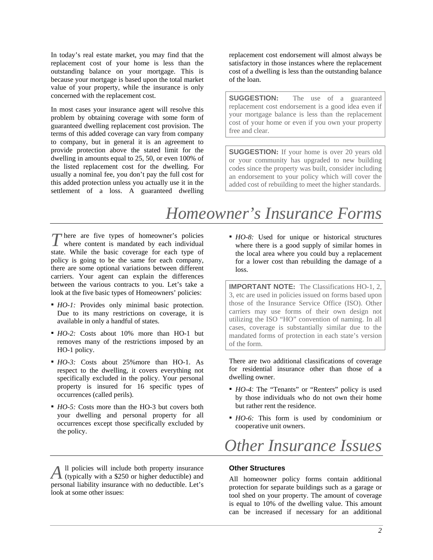In today's real estate market, you may find that the replacement cost of your home is less than the outstanding balance on your mortgage. This is because your mortgage is based upon the total market value of your property, while the insurance is only concerned with the replacement cost.

In most cases your insurance agent will resolve this problem by obtaining coverage with some form of guaranteed dwelling replacement cost provision. The terms of this added coverage can vary from company to company, but in general it is an agreement to provide protection above the stated limit for the dwelling in amounts equal to 25, 50, or even 100% of the listed replacement cost for the dwelling. For usually a nominal fee, you don't pay the full cost for this added protection unless you actually use it in the settlement of a loss. A guaranteed dwelling

replacement cost endorsement will almost always be satisfactory in those instances where the replacement cost of a dwelling is less than the outstanding balance of the loan.

**SUGGESTION:** The use of a guaranteed replacement cost endorsement is a good idea even if your mortgage balance is less than the replacement cost of your home or even if you own your property free and clear.

**SUGGESTION:** If your home is over 20 years old or your community has upgraded to new building codes since the property was built, consider including an endorsement to your policy which will cover the added cost of rebuilding to meet the higher standards.

## *Homeowner's Insurance Forms*

here are five types of homeowner's policies There are five types of homeowner's policies where content is mandated by each individual state. While the basic coverage for each type of policy is going to be the same for each company, there are some optional variations between different carriers. Your agent can explain the differences between the various contracts to you. Let's take a look at the five basic types of Homeowners' policies:

- *HO-1*: Provides only minimal basic protection. Due to its many restrictions on coverage, it is available in only a handful of states.
- *HO-2:* Costs about 10% more than HO-1 but removes many of the restrictions imposed by an HO-1 policy.
- *HO-3:* Costs about 25%more than HO-1. As respect to the dwelling, it covers everything not specifically excluded in the policy. Your personal property is insured for 16 specific types of occurrences (called perils).
- *HO-5*: Costs more than the HO-3 but covers both your dwelling and personal property for all occurrences except those specifically excluded by the policy.

ll policies will include both property insurance (typically with a \$250 or higher deductible) and *A*personal liability insurance with no deductible. Let's look at some other issues:

**•** *HO-8*: Used for unique or historical structures where there is a good supply of similar homes in the local area where you could buy a replacement for a lower cost than rebuilding the damage of a loss.

**IMPORTANT NOTE:** The Classifications HO-1, 2, 3, etc are used in policies issued on forms based upon those of the Insurance Service Office (ISO). Other carriers may use forms of their own design not utilizing the ISO "HO" convention of naming. In all cases, coverage is substantially similar due to the mandated forms of protection in each state's version of the form.

There are two additional classifications of coverage for residential insurance other than those of a dwelling owner.

- *HO-4:* The "Tenants" or "Renters" policy is used by those individuals who do not own their home but rather rent the residence.
- *HO-6:* This form is used by condominium or cooperative unit owners.

## *Other Insurance Issues*

### **Other Structures**

All homeowner policy forms contain additional protection for separate buildings such as a garage or tool shed on your property. The amount of coverage is equal to 10% of the dwelling value. This amount can be increased if necessary for an additional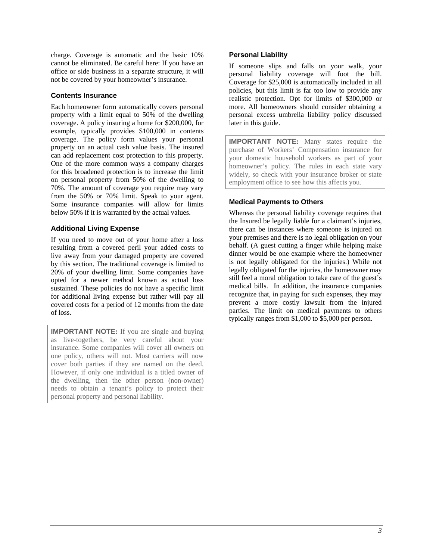charge. Coverage is automatic and the basic 10% cannot be eliminated. Be careful here: If you have an office or side business in a separate structure, it will not be covered by your homeowner's insurance.

### **Contents Insurance**

Each homeowner form automatically covers personal property with a limit equal to 50% of the dwelling coverage. A policy insuring a home for \$200,000, for example, typically provides \$100,000 in contents coverage. The policy form values your personal property on an actual cash value basis. The insured can add replacement cost protection to this property. One of the more common ways a company charges for this broadened protection is to increase the limit on personal property from 50% of the dwelling to 70%. The amount of coverage you require may vary from the 50% or 70% limit. Speak to your agent. Some insurance companies will allow for limits below 50% if it is warranted by the actual values.

#### **Additional Living Expense**

If you need to move out of your home after a loss resulting from a covered peril your added costs to live away from your damaged property are covered by this section. The traditional coverage is limited to 20% of your dwelling limit. Some companies have opted for a newer method known as actual loss sustained. These policies do not have a specific limit for additional living expense but rather will pay all covered costs for a period of 12 months from the date of loss.

**IMPORTANT NOTE:** If you are single and buying as live-togethers, be very careful about your insurance. Some companies will cover all owners on one policy, others will not. Most carriers will now cover both parties if they are named on the deed. However, if only one individual is a titled owner of the dwelling, then the other person (non-owner) needs to obtain a tenant's policy to protect their personal property and personal liability.

### **Personal Liability**

If someone slips and falls on your walk, your personal liability coverage will foot the bill. Coverage for \$25,000 is automatically included in all policies, but this limit is far too low to provide any realistic protection. Opt for limits of \$300,000 or more. All homeowners should consider obtaining a personal excess umbrella liability policy discussed later in this guide.

**IMPORTANT NOTE:** Many states require the purchase of Workers' Compensation insurance for your domestic household workers as part of your homeowner's policy. The rules in each state vary widely, so check with your insurance broker or state employment office to see how this affects you.

### **Medical Payments to Others**

Whereas the personal liability coverage requires that the Insured be legally liable for a claimant's injuries, there can be instances where someone is injured on your premises and there is no legal obligation on your behalf. (A guest cutting a finger while helping make dinner would be one example where the homeowner is not legally obligated for the injuries.) While not legally obligated for the injuries, the homeowner may still feel a moral obligation to take care of the guest's medical bills. In addition, the insurance companies recognize that, in paying for such expenses, they may prevent a more costly lawsuit from the injured parties. The limit on medical payments to others typically ranges from \$1,000 to \$5,000 per person.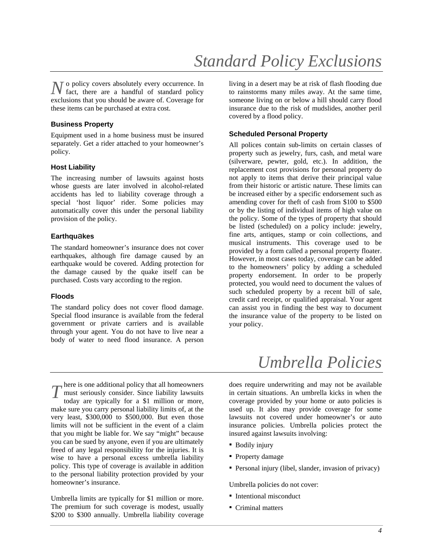o policy covers absolutely every occurrence. In  $N$  o policy covers absolutely every occurrence. In fact, there are a handful of standard policy exclusions that you should be aware of. Coverage for these items can be purchased at extra cost.

#### **Business Property**

Equipment used in a home business must be insured separately. Get a rider attached to your homeowner's policy.

#### **Host Liability**

The increasing number of lawsuits against hosts whose guests are later involved in alcohol-related accidents has led to liability coverage through a special 'host liquor' rider. Some policies may automatically cover this under the personal liability provision of the policy.

#### **Earthqu**a**kes**

The standard homeowner's insurance does not cover earthquakes, although fire damage caused by an earthquake would be covered. Adding protection for the damage caused by the quake itself can be purchased. Costs vary according to the region.

### **Floods**

The standard policy does not cover flood damage. Special flood insurance is available from the federal government or private carriers and is available through your agent. You do not have to live near a body of water to need flood insurance. A person

living in a desert may be at risk of flash flooding due to rainstorms many miles away. At the same time, someone living on or below a hill should carry flood insurance due to the risk of mudslides, another peril covered by a flood policy.

#### **Scheduled Personal Property**

All polices contain sub-limits on certain classes of property such as jewelry, furs, cash, and metal ware (silverware, pewter, gold, etc.). In addition, the replacement cost provisions for personal property do not apply to items that derive their principal value from their historic or artistic nature. These limits can be increased either by a specific endorsement such as amending cover for theft of cash from \$100 to \$500 or by the listing of individual items of high value on the policy. Some of the types of property that should be listed (scheduled) on a policy include: jewelry, fine arts, antiques, stamp or coin collections, and musical instruments. This coverage used to be provided by a form called a personal property floater. However, in most cases today, coverage can be added to the homeowners' policy by adding a scheduled property endorsement. In order to be properly protected, you would need to document the values of such scheduled property by a recent bill of sale, credit card receipt, or qualified appraisal. Your agent can assist you in finding the best way to document the insurance value of the property to be listed on your policy.

## *Umbrella Policies*

T here is one additional policy that all homeowners<br>must seriously consider. Since liability lawsuits<br>today are typically for a \$1 million or more must seriously consider. Since liability lawsuits today are typically for a \$1 million or more, make sure you carry personal liability limits of, at the very least, \$300,000 to \$500,000. But even those limits will not be sufficient in the event of a claim that you might be liable for. We say "might" because you can be sued by anyone, even if you are ultimately freed of any legal responsibility for the injuries. It is wise to have a personal excess umbrella liability policy. This type of coverage is available in addition to the personal liability protection provided by your homeowner's insurance.

Umbrella limits are typically for \$1 million or more. The premium for such coverage is modest, usually \$200 to \$300 annually. Umbrella liability coverage does require underwriting and may not be available in certain situations. An umbrella kicks in when the coverage provided by your home or auto policies is used up. It also may provide coverage for some lawsuits not covered under homeowner's or auto insurance policies. Umbrella policies protect the insured against lawsuits involving:

- Bodily injury
- Property damage
- Personal injury (libel, slander, invasion of privacy)

Umbrella policies do not cover:

- Intentional misconduct
- Criminal matters